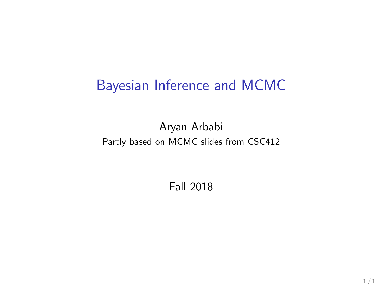### Bayesian Inference and MCMC

Aryan Arbabi Partly based on MCMC slides from CSC412

Fall 2018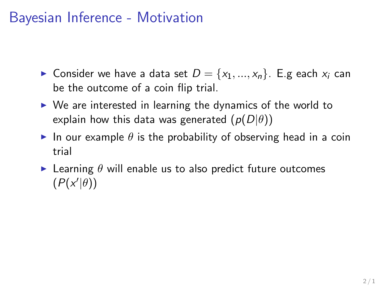## Bayesian Inference - Motivation

- ► Consider we have a data set  $D = \{x_1, ..., x_n\}$ . E.g each  $x_i$  can be the outcome of a coin flip trial.
- $\triangleright$  We are interested in learning the dynamics of the world to explain how this data was generated  $(p(D|\theta))$
- In our example  $\theta$  is the probability of observing head in a coin trial
- E Learning  $\theta$  will enable us to also predict future outcomes  $(P(x'|\theta))$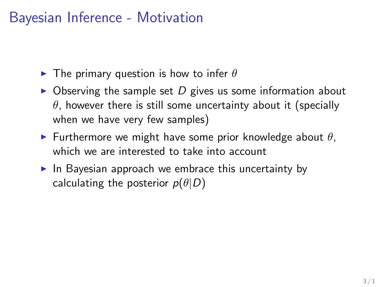## Bayesian Inference - Motivation

- $\blacktriangleright$  The primary question is how to infer  $\theta$
- $\triangleright$  Observing the sample set D gives us some information about  $\theta$ , however there is still some uncertainty about it (specially when we have very few samples)
- **Furthermore we might have some prior knowledge about**  $\theta$ **,** which we are interested to take into account
- $\blacktriangleright$  In Bayesian approach we embrace this uncertainty by calculating the posterior  $p(\theta|D)$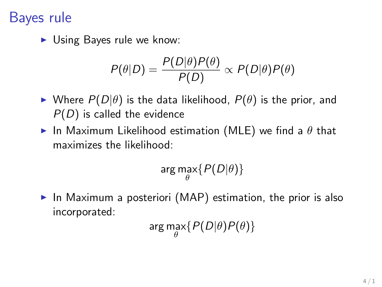### Bayes rule

 $\blacktriangleright$  Using Bayes rule we know:

$$
P(\theta|D) = \frac{P(D|\theta)P(\theta)}{P(D)} \propto P(D|\theta)P(\theta)
$$

- Where  $P(D|\theta)$  is the data likelihood,  $P(\theta)$  is the prior, and  $P(D)$  is called the evidence
- In Maximum Likelihood estimation (MLE) we find a  $\theta$  that maximizes the likelihood:

$$
\arg\max_{\theta}\{P(D|\theta)\}
$$

 $\triangleright$  In Maximum a posteriori (MAP) estimation, the prior is also incorporated:

arg max $\{P(D|\theta)P(\theta)\}$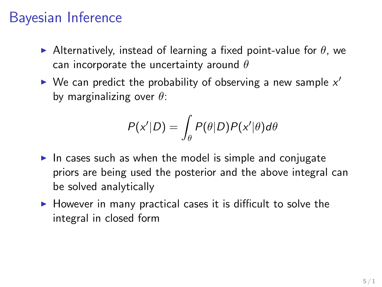## Bayesian Inference

- Alternatively, instead of learning a fixed point-value for  $\theta$ , we can incorporate the uncertainty around  $\theta$
- $\blacktriangleright$  We can predict the probability of observing a new sample  $x'$ by marginalizing over  $\theta$ :

$$
P(x'|D) = \int_{\theta} P(\theta|D)P(x'|\theta)d\theta
$$

- In cases such as when the model is simple and conjugate priors are being used the posterior and the above integral can be solved analytically
- $\blacktriangleright$  However in many practical cases it is difficult to solve the integral in closed form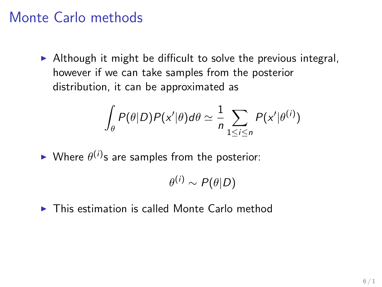### Monte Carlo methods

 $\triangleright$  Although it might be difficult to solve the previous integral, however if we can take samples from the posterior distribution, it can be approximated as

$$
\int_{\theta} P(\theta|D)P(x'|\theta)d\theta \simeq \frac{1}{n}\sum_{1\leq i\leq n} P(x'|\theta^{(i)})
$$

 $\blacktriangleright$  Where  $\theta^{(i)}$ s are samples from the posterior:

$$
\theta^{(i)} \sim P(\theta|D)
$$

 $\blacktriangleright$  This estimation is called Monte Carlo method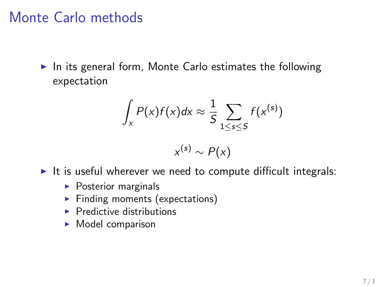### Monte Carlo methods

 $\blacktriangleright$  In its general form, Monte Carlo estimates the following expectation

$$
\int_{x} P(x)f(x)dx \approx \frac{1}{5}\sum_{1\leq s\leq 5} f(x^{(s)})
$$

$$
x^{(s)} \sim P(x)
$$

- It is useful wherever we need to compute difficult integrals:
	- $\blacktriangleright$  Posterior marginals
	- $\blacktriangleright$  Finding moments (expectations)
	- $\blacktriangleright$  Predictive distributions
	- $\blacktriangleright$  Model comparison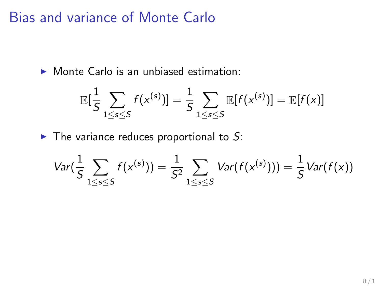Bias and variance of Monte Carlo

 $\triangleright$  Monte Carlo is an unbiased estimation:

$$
\mathbb{E}[\frac{1}{S}\sum_{1\leq s\leq S}f(\mathsf{x}^{(s)})]=\frac{1}{S}\sum_{1\leq s\leq S}\mathbb{E}[f(\mathsf{x}^{(s)})]=\mathbb{E}[f(\mathsf{x})]
$$

 $\blacktriangleright$  The variance reduces proportional to S:

$$
Var(\frac{1}{S}\sum_{1\leq s\leq S}f(x^{(s)}))=\frac{1}{S^2}\sum_{1\leq s\leq S}Var(f(x^{(s)})))=\frac{1}{S}Var(f(x))
$$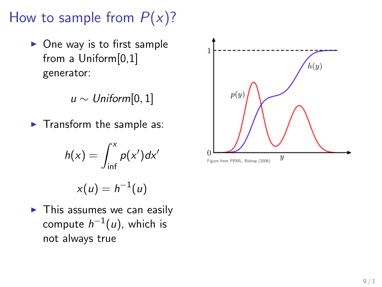How to sample from  $P(x)$ ?

 $\triangleright$  One way is to first sample from a Uniform[0,1] generator:

 $u \sim \textit{Uniform}[0,1]$ 

 $\blacktriangleright$  Transform the sample as:

$$
h(x) = \int_{\inf}^{x} p(x') dx'
$$

 $x(u) = h^{-1}(u)$ 

 $\blacktriangleright$  This assumes we can easily compute  $h^{-1}(u)$ , which is not always true

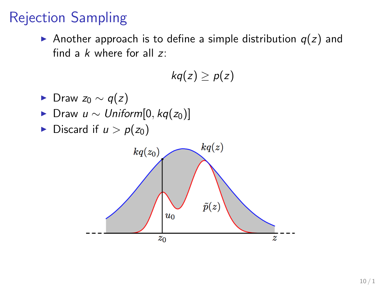## Rejection Sampling

Another approach is to define a simple distribution  $q(z)$  and find a  $k$  where for all  $z$ :

$$
kq(z)\geq p(z)
$$

- $\blacktriangleright$  Draw  $z_0 \sim q(z)$
- ► Draw  $u \sim Uniform[0, kq(z_0)]$
- Discard if  $u > p(z_0)$

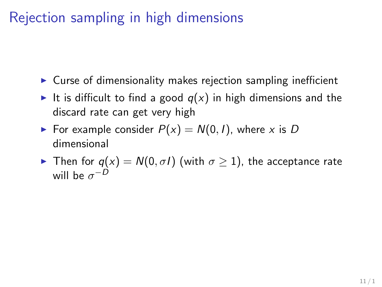## Rejection sampling in high dimensions

- $\triangleright$  Curse of dimensionality makes rejection sampling inefficient
- It is difficult to find a good  $q(x)$  in high dimensions and the discard rate can get very high
- For example consider  $P(x) = N(0, 1)$ , where x is D dimensional
- **Figure 1** Then for  $q(x) = N(0, \sigma I)$  (with  $\sigma \ge 1$ ), the acceptance rate will be  $\sigma^{-D}$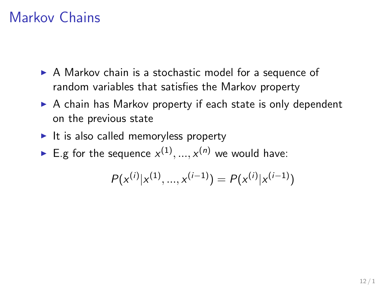### Markov Chains

- $\triangleright$  A Markov chain is a stochastic model for a sequence of random variables that satisfies the Markov property
- $\triangleright$  A chain has Markov property if each state is only dependent on the previous state
- $\blacktriangleright$  It is also called memoryless property
- E.g for the sequence  $x^{(1)},...,x^{(n)}$  we would have:

$$
P(x^{(i)}|x^{(1)},...,x^{(i-1)}) = P(x^{(i)}|x^{(i-1)})
$$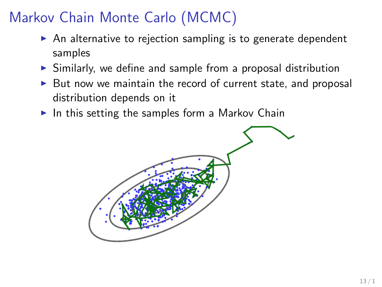## Markov Chain Monte Carlo (MCMC)

- $\triangleright$  An alternative to rejection sampling is to generate dependent samples
- $\triangleright$  Similarly, we define and sample from a proposal distribution
- $\triangleright$  But now we maintain the record of current state, and proposal distribution depends on it
- $\blacktriangleright$  In this setting the samples form a Markov Chain

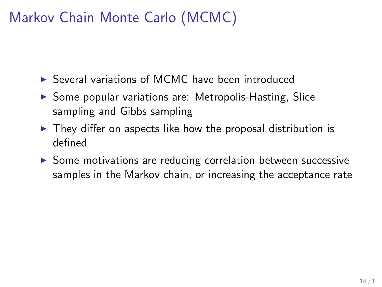## Markov Chain Monte Carlo (MCMC)

- $\triangleright$  Several variations of MCMC have been introduced
- $\triangleright$  Some popular variations are: Metropolis-Hasting, Slice sampling and Gibbs sampling
- $\triangleright$  They differ on aspects like how the proposal distribution is defined
- $\triangleright$  Some motivations are reducing correlation between successive samples in the Markov chain, or increasing the acceptance rate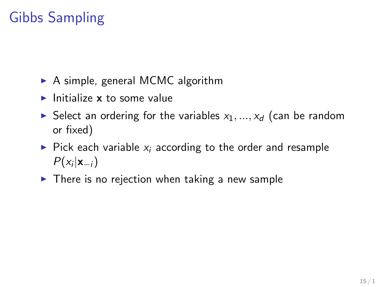# Gibbs Sampling

- $\triangleright$  A simple, general MCMC algorithm
- Initialize  $x$  to some value
- Select an ordering for the variables  $x_1, ..., x_d$  (can be random or fixed)
- $\triangleright$  Pick each variable  $x_i$  according to the order and resample  $P(x_i|\mathbf{x}_{-i})$
- $\triangleright$  There is no rejection when taking a new sample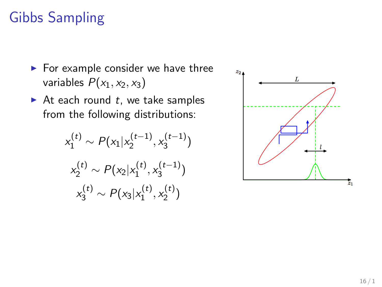## Gibbs Sampling

- $\blacktriangleright$  For example consider we have three variables  $P(x_1, x_2, x_3)$
- $\blacktriangleright$  At each round t, we take samples from the following distributions:

$$
x_1^{(t)} \sim P(x_1 | x_2^{(t-1)}, x_3^{(t-1)})
$$

$$
x_2^{(t)} \sim P(x_2 | x_1^{(t)}, x_3^{(t-1)})
$$

$$
x_3^{(t)} \sim P(x_3 | x_1^{(t)}, x_2^{(t)})
$$

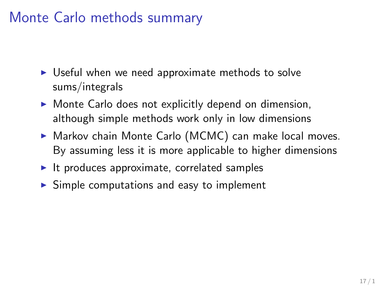### Monte Carlo methods summary

- $\triangleright$  Useful when we need approximate methods to solve sums/integrals
- $\triangleright$  Monte Carlo does not explicitly depend on dimension, although simple methods work only in low dimensions
- $\triangleright$  Markov chain Monte Carlo (MCMC) can make local moves. By assuming less it is more applicable to higher dimensions
- $\blacktriangleright$  It produces approximate, correlated samples
- $\triangleright$  Simple computations and easy to implement